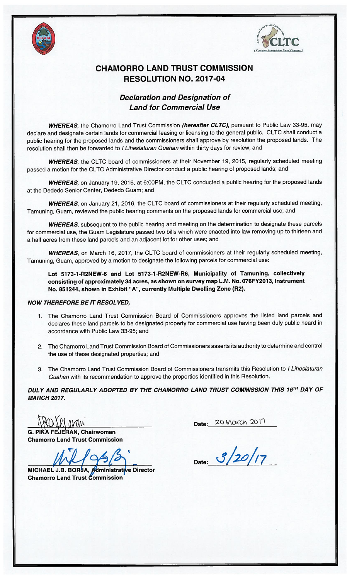



## CHAMORRO LAND TRUST COMMISSION RESOLUTION NO. 2017-04

## Declaration and Designation of Land for Commercial Use

WHEREAS, the Chamorro Land Trust Commission (hereafter CLTC), pursuant to Public Law 33-95, may declare and designate certain lands for commercial leasing or licensing to the general public. CLTC shall conduct a public hearing for the proposed lands and the commissioners shall approve by resolution the proposed lands. The resolution shall then be forwarded to I Liheslaturan Guahan within thirty days for review; and

WHEREAS, the CLTC board of commissioners at their November 19, 2015, regularly scheduled meeting passed a motion for the CLTC Administrative Director conduct a public hearing of proposed lands; and

WHEREAS, on January 19, 2016, at 6:00PM, the CLTC conducted a public hearing for the proposed lands at the Dededo Senior Center, Dededo Guam; and

WHEREAS, on January 21, 2016, the CLTC board of commissioners at their regularly scheduled meeting, Tamuning, Guam, reviewed the public hearing comments on the proposed lands for commercial use; and

WHEREAS, subsequent to the public hearing and meeting on the determination to designate these parcels for commercial use, the Guam Legislature passed two bills which were enacted into law removing up to thirteen and a half acres from these land parcels and an adjacent lot for other uses; and

WHEREAS, on March 16, 2017, the CLTC board of commissioners at their regularly scheduled meeting, Tamuning, Guam, approved by a motion to designate the following parcels for commercial use:

Lot 5173-1-R2NEW-6 and Lot 5773-1-R2NEW-R6, Municipality of Tamuning, collectively consisting of approximately 34 acres, as shown on survey map L.M. No. 076FY2013, Instrument No. 851244, shown in Exhibit "A", currently Multiple Dwelling Zone (R2).

## NOW THEREFORE BE IT RESOL VED,

- 1. The Chamorro Land Trust Commission Board of Commissioners approves the listed land parcels and declares these land parcels to be designated property for commercial use having been duly public heard in accordance with Public Law 33-95; and
- 2. The Chamorro Land Trust Commission Board of Commissioners asserts its authority to determine and control the use of these designated properties; and
- 3. The Chamorro Land Trust Commission Board of Commissioners transmits this Resolution to <sup>I</sup> Liheslaturan Guahan with its recommendation to approve the properties identified in this Resolution.

DULY AND REGULARLY ADOPTED BY THE CHAMORRO LAND TRUST COMMISSION THIS 16TH DAY OF MARCH 2017.

G. PIKA FEJERAN, Chairwoman Chamorro Land Trust Commission

MICHAEL J.B. BORJA, Administrative Director **Chamorro Land Trust Commission** 

Date: 20 Morch

 $D_{\text{late}:}}$  3/20/17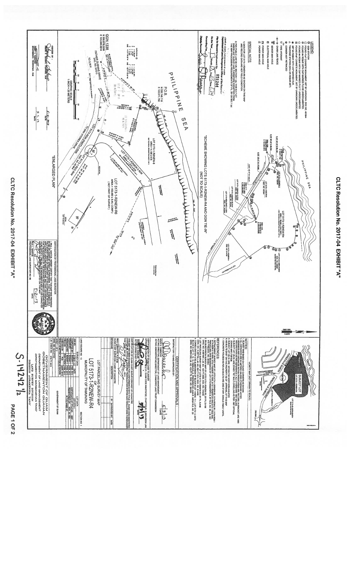

CLTC Resolution No. 2017-04 EXHIBIT "A"

CLTC Resolution No. 2017-04 EXHIBIT "A"

PAGE 1 OF 2